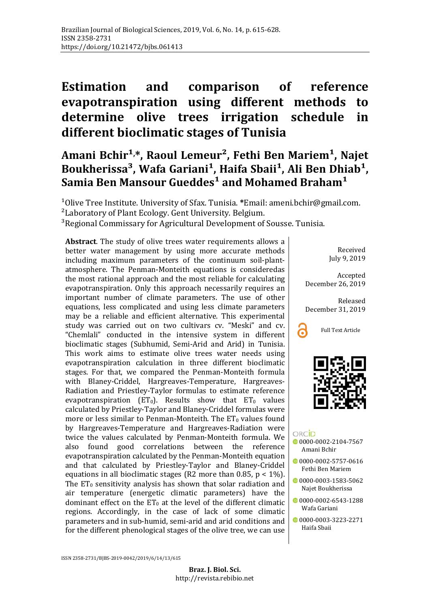# **Estimation and comparison of reference evapotranspiration using different methods to determine olive trees irrigation schedule in different bioclimatic stages of Tunisia**

# Amani Bchir<sup>1,</sup>\*, Raoul Lemeur<sup>2</sup>, Fethi Ben Mariem<sup>1</sup>, Najet Boukherissa<sup>3</sup>, Wafa Gariani<sup>1</sup>, Haifa Sbaii<sup>1</sup>, Ali Ben Dhiab<sup>1</sup>, Samia Ben Mansour Gueddes<sup>1</sup> and Mohamed Braham<sup>1</sup>

<sup>1</sup>Olive Tree Institute. University of Sfax. Tunisia. \*Email: ameni.bchir@gmail.com.

<sup>2</sup> Laboratory of Plant Ecology. Gent University. Belgium.

<sup>3</sup>Regional Commissary for Agricultural Development of Sousse. Tunisia.

**Abstract**. The study of olive trees water requirements allows a better water management by using more accurate methods including maximum parameters of the continuum soil-plantatmosphere. The Penman-Monteith equations is consideredas the most rational approach and the most reliable for calculating evapotranspiration. Only this approach necessarily requires an important number of climate parameters. The use of other equations, less complicated and using less climate parameters may be a reliable and efficient alternative. This experimental study was carried out on two cultivars cv. "Meski" and cv. "Chemlali" conducted in the intensive system in different bioclimatic stages (Subhumid, Semi-Arid and Arid) in Tunisia. This work aims to estimate olive trees water needs using evapotranspiration calculation in three different bioclimatic stages. For that, we compared the Penman-Monteith formula with Blaney-Criddel, Hargreaves-Temperature, Hargreaves-Radiation and Priestley-Taylor formulas to estimate reference evapotranspiration ( $ET_0$ ). Results show that  $ET_0$  values calculated by Priestley-Taylor and Blaney-Criddel formulas were more or less similar to Penman-Monteith. The  $ET_0$  values found by Hargreaves-Temperature and Hargreaves-Radiation were twice the values calculated by Penman-Monteith formula. We also found good correlations between the reference found good correlations between the reference evapotranspiration calculated by the Penman-Monteith equation and that calculated by Priestley-Taylor and Blaney-Criddel equations in all bioclimatic stages (R2 more than 0.85,  $p < 1\%$ ). The  $ET_0$  sensitivity analysis has shown that solar radiation and air temperature (energetic climatic parameters) have the dominant effect on the  $ET_0$  at the level of the different climatic regions. Accordingly, in the case of lack of some climatic parameters and in sub-humid, semi-arid and arid conditions and for the different phenological stages of the olive tree, we can use

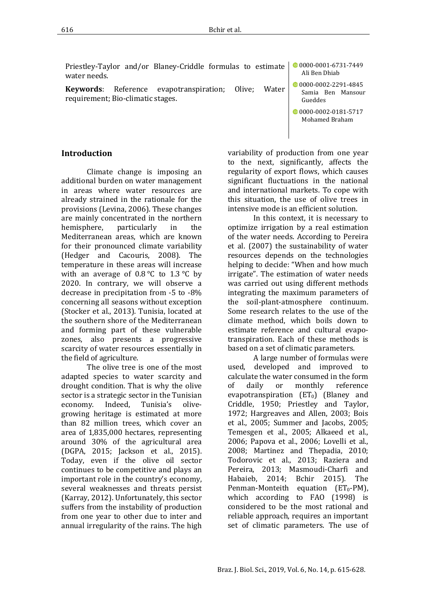Priestley-Taylor and/or Blaney-Criddle formulas to estimate water needs. [0000-0001-6731-7449](https://orcid.org/0000-0001-6731-7449)

**Keywords**: Reference evapotranspiration; Olive; Water requirement; Bio-climatic stages.

**Introduction**

Climate change is imposing an additional burden on water management in areas where water resources are already strained in the rationale for the provisions (Levina, 2006). These changes are mainly concentrated in the northern<br>hemisphere, particularly in the hemisphere, particularly in the Mediterranean areas, which are known for their pronounced climate variability (Hedger and Cacouris, 2008). The temperature in these areas will increase with an average of  $0.8\degree$ C to  $1.3\degree$ C by 2020. In contrary, we will observe a decrease in precipitation from -5 to -8% concerning all seasons without exception (Stocker et al., 2013). Tunisia, located at the southern shore of the Mediterranean and forming part of these vulnerable zones, also presents a progressive scarcity of water resources essentially in the field of agriculture.

The olive tree is one of the most adapted species to water scarcity and drought condition. That is why the olive sector is a strategic sector in the Tunisian<br>economy. Indeed, Tunisia's oliveeconomy. Indeed, growing heritage is estimated at more than 82 million trees, which cover an area of 1,835,000 hectares, representing around 30% of the agricultural area (DGPA, 2015; Jackson et al., 2015). Today, even if the olive oil sector continues to be competitive and plays an important role in the country's economy, several weaknesses and threats persist (Karray, 2012). Unfortunately, this sector suffers from the instability of production from one year to other due to inter and annual irregularity of the rains. The high

variability of production from one year to the next, significantly, affects the regularity of export flows, which causes significant fluctuations in the national and international markets. To cope with this situation, the use of olive trees in intensive mode is an efficient solution.

In this context, it is necessary to optimize irrigation by a real estimation of the water needs. According to Pereira et al. (2007) the sustainability of water resources depends on the technologies helping to decide: "When and how much irrigate". The estimation of water needs was carried out using different methods integrating the maximum parameters of the soil-plant-atmosphere continuum. Some research relates to the use of the climate method, which boils down to estimate reference and cultural evapotranspiration. Each of these methods is based on a set of climatic parameters.

A large number of formulas were used, developed and improved to calculate the water consumed in the form<br>of daily or monthly reference reference evapotranspiration  $(ET_0)$  (Blaney and Criddle, 1950; Priestley and Taylor, 1972; Hargreaves and Allen, 2003; Bois et al., 2005; Summer and Jacobs, 2005; Temesgen et al., 2005; Alkaeed et al., 2006; Papova et al., 2006; Lovelli et al., 2008; Martinez and Thepadia, 2010; Todorovic et al., 2013; Raziera and Pereira, 2013; Masmoudi-Charfi and<br>Habaieb. 2014: Bchir 2015). The Habaieb, 2014; Penman-Monteith equation  $(ET_0-PM)$ , which according to FAO (1998) is considered to be the most rational and reliable approach, requires an important set of climatic parameters. The use of

Ali Ben Dhiab

- 0[0000-0002-2291-4845](https://orcid.org/0000-0002-2291-4845) Samia Ben Mansour Gueddes
- [0000-0002-0181-5717](https://orcid.org/0000-0002-0181-5717) Mohamed Braham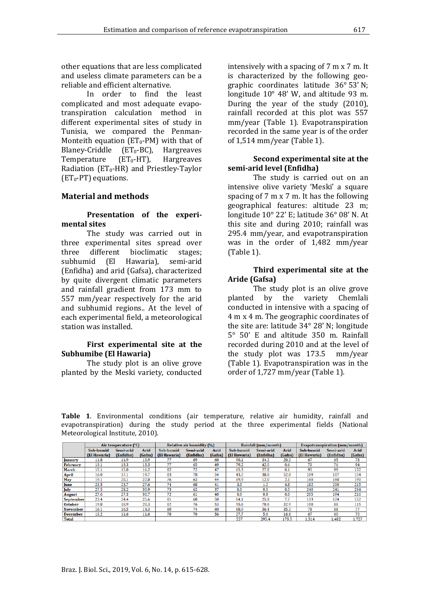other equations that are less complicated and useless climate parameters can be a reliable and efficient alternative.

In order to find the least complicated and most adequate evapotranspiration calculation method in different experimental sites of study in Tunisia, we compared the Penman-Monteith equation ( $ET_0$ -PM) with that of Blaney-Criddle ( $ET_0$ -BC), Hargreaves<br>Temperature ( $ET_0$ -HT), Hargreaves Temperature Radiation ( $ET_0$ -HR) and Priestley-Taylor  $(ET_0-PT)$  equations.

# **Material and methods**

#### **Presentation of the experimental sites**

The study was carried out in three experimental sites spread over<br>three different bioclimatic stages: three different bioclimatic stages;<br>subhumid (El Hawaria). semi-arid subhumid (El Hawaria), semi-arid (Enfidha) and arid (Gafsa), characterized by quite divergent climatic parameters and rainfall gradient from 173 mm to 557 mm/year respectively for the arid and subhumid regions.. At the level of each experimental field, a meteorological station was installed.

#### **First experimental site at the Subhumibe (El Hawaria)**

The study plot is an olive grove planted by the Meski variety, conducted intensively with a spacing of 7 m x 7 m. It is characterized by the following geographic coordinates latitude 36° 53' N; longitude 10° 48' W, and altitude 93 m. During the year of the study (2010), rainfall recorded at this plot was 557 mm/year (Table 1). Evapotranspiration recorded in the same year is of the order of 1,514 mm/year (Table 1).

#### **Second experimental site at the semi-arid level (Enfidha)**

The study is carried out on an intensive olive variety 'Meski' a square spacing of 7 m x 7 m. It has the following geographical features: altitude 23 m; longitude 10° 22' E; latitude 36° 08' N. At this site and during 2010; rainfall was 295.4 mm/year, and evapotranspiration was in the order of 1,482 mm/year (Table 1).

#### **Third experimental site at the Aride (Gafsa)**

The study plot is an olive grove<br>planted by the variety Chemlali by the variety Chemlali conducted in intensive with a spacing of 4 m x 4 m. The geographic coordinates of the site are: latitude 34° 28' N; longitude 5° 50' E and altitude 350 m. Rainfall recorded during 2010 and at the level of the study plot was 173.5 mm/year (Table 1). Evapotranspiration was in the order of 1,727 mm/year (Table 1).

**Table 1**. Environmental conditions (air temperature, relative air humidity, rainfall and evapotranspiration) during the study period at the three experimental fields (National Meteorological Institute, 2010).

|                | Air temperature (°C) |           |         | Relative air humidity (%) |           |         | Rainfall (mm/month) |           |         | Evapotranspiration (mm/month) |           |         |  |
|----------------|----------------------|-----------|---------|---------------------------|-----------|---------|---------------------|-----------|---------|-------------------------------|-----------|---------|--|
|                | Sub-humid            | Semi-arid | Arid    | Sub-humid                 | Semi-arid | Arid    | Sub-humid           | Semi-arid | Arid    | Sub-humid                     | Semi-arid | Arid    |  |
|                | (El Hawaria)         | (Enfidha) | (Gafsa) | (El Hawaria)              | (Enfidha) | (Gafsa) | (El Hawaria)        | (Enfidha) | (Gafsa) | (El Hawaria)                  | (Enfidha) | (Gafsa) |  |
| January        | 11.8                 | 11.9      | 10.9    | 77                        | 69        | 60      | 90.1                | 34.2      | 20.2    | 67                            | 65        | 78      |  |
| February       | 13.1                 | 13.3      | 13.3    | 77                        | 65        | 49      | 79.2                | 42.0      | 0.6     | 70                            | 76        | 94      |  |
| March          | 15.1                 | 15.0      | 16.2    | 82                        | 72        | 47      | 65.3                | 27.8      | 0.1     | 95                            | 99        | 132     |  |
| <b>April</b>   | 16.0                 | 17.1      | 19.7    | 83                        | 78        | 54      | 43.2                | 38.8      | 52.8    | 109                           | 107       | 154     |  |
| May            | 19.1                 | 20.1      | 22.0    | 76                        | 63        | 44      | 19.9                | 12.0      | 2.1     | 160                           | 160       | 190     |  |
| June           | 23.5                 | 23.7      | 27.6    | 74                        | 68        | 41      | 3.0                 | 1.2       | 4.8     | 182                           | 200       | 215     |  |
| July           | 27.5                 | 28.2      | 30.9    | 73                        | 62        | 37      | 0.0                 | 0.0       | 0.5     | 240                           | 241       | 234     |  |
| <b>August</b>  | 27.6                 | 27.3      | 30.7    | 72                        | 61        | 40      | 0.0                 | 0.8       | 0.0     | 205                           | 194       | 216     |  |
| September      | 23.4                 | 24.4      | 25.6    | 81                        | 68        | 50      | 64.1                | 25.8      | 7.7     | 133                           | 124       | 152     |  |
| <b>October</b> | 19.8                 | 18.9      | 20.3    | 82                        | 76        | 53      | 95.6                | 70.8      | 32.9    | 108                           | 88        | 115     |  |
| November       | 16.1                 | 16.5      | 14.3    | 80                        | 74        | 60      | 68.9                | 36.4      | 35.2    | 78                            | 68        | 77      |  |
| December       | 13.2                 | 11.6      | 11.6    | 78                        | 70        | 56      | 27.7                | 5.6       | 16.6    | 67                            | 60        | 70      |  |
| <b>Total</b>   |                      |           |         |                           |           |         | 557                 | 295.4     | 173.5   | 1.514                         | 1.482     | 1.727   |  |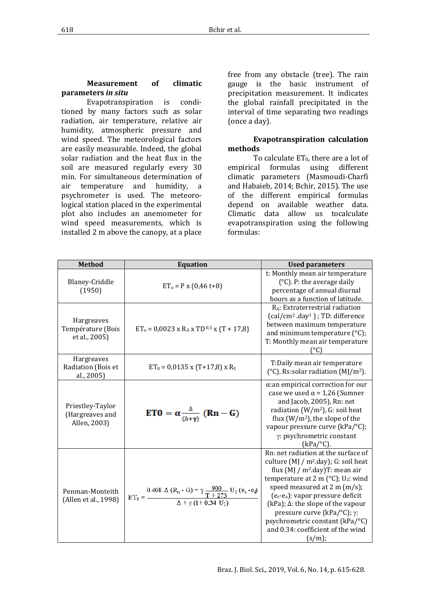Evapotranspiration is conditioned by many factors such as solar radiation, air temperature, relative air humidity, atmospheric pressure and wind speed. The meteorological factors are easily measurable. Indeed, the global solar radiation and the heat flux in the soil are measured regularly every 30 min. For simultaneous determination of air temperature and humidity, a psychrometer is used. The meteorological station placed in the experimental plot also includes an anemometer for wind speed measurements, which is installed 2 m above the canopy, at a place

free from any obstacle (tree). The rain gauge is the basic instrument of precipitation measurement. It indicates the global rainfall precipitated in the interval of time separating two readings (once a day).

#### **Evapotranspiration calculation methods**

To calculate  $ET_0$ , there are a lot of empirical formulas using different climatic parameters (Masmoudi-Charfi and Habaieb, 2014; Bchir, 2015). The use of the different empirical formulas depend on available weather data. Climatic data allow us tocalculate evapotranspiration using the following formulas:

| <b>Method</b>                                           | <b>Equation</b>                                                                                                                                                                                                                         | <b>Used parameters</b>                                                                                                                                                                                                                                                                                                                                                                                                                        |  |  |  |  |
|---------------------------------------------------------|-----------------------------------------------------------------------------------------------------------------------------------------------------------------------------------------------------------------------------------------|-----------------------------------------------------------------------------------------------------------------------------------------------------------------------------------------------------------------------------------------------------------------------------------------------------------------------------------------------------------------------------------------------------------------------------------------------|--|--|--|--|
| Blaney-Criddle<br>(1950)                                | $ET_0 = P \times (0.46 t + 8)$                                                                                                                                                                                                          | t: Monthly mean air temperature<br>$(^{\circ}C)$ . P: the average daily<br>percentage of annual diurnal<br>hours as a function of latitude.                                                                                                                                                                                                                                                                                                   |  |  |  |  |
| <b>Hargreaves</b><br>Température (Bois<br>et al., 2005) | $ET_0 = 0.0023$ x R <sub>A</sub> x TD <sup>0.5</sup> x (T + 17.8)                                                                                                                                                                       | $R_A$ : Extraterrestrial radiation<br>$\text{(cal/cm}^2 \text{.day}^1)$ ; TD: difference<br>between maximum temperature<br>and minimum temperature $(°C)$ ;<br>T: Monthly mean air temperature<br>(°C)                                                                                                                                                                                                                                        |  |  |  |  |
| <b>Hargreaves</b><br>Radiation (Bois et<br>al., 2005)   | $ET_0 = 0.0135$ x (T+17,8) x R <sub>S</sub>                                                                                                                                                                                             | T:Daily mean air temperature<br>(°C). Rs:solar radiation ( $M$ J/m <sup>2</sup> ).                                                                                                                                                                                                                                                                                                                                                            |  |  |  |  |
| Priestley-Taylor<br>(Hargreaves and<br>Allen, 2003)     | $ET0 = \alpha \frac{\Delta}{(\Delta + v)} (Rn - G)$                                                                                                                                                                                     | $\alpha$ : an empirical correction for our<br>case we used $\alpha$ = 1,26 (Sumner<br>and Jacob, 2005), Rn: net<br>radiation ( $W/m^2$ ), G: soil heat<br>flux $(W/m^2)$ , the slope of the<br>vapour pressure curve (kPa/°C);<br>γ: psychrometric constant<br>$(kPa/°C)$ .                                                                                                                                                                   |  |  |  |  |
| Penman-Monteith<br>(Allen et al., 1998)                 | $\mathrm{ET}_0 = \frac{0.408~\Delta\,\left(\mathrm{R}_\mathrm{n}\cdot\mathrm{G}\right)+\gamma\,\frac{900}{\mathrm{T}+273}~\mathrm{U}_2\left(\mathrm{e_a}\cdot\mathrm{e_d}\right)}{\Delta+\gamma\,\left(1\!+\!0.34~\mathrm{U}_2\right)}$ | Rn: net radiation at the surface of<br>culture $(M / m^2 \, day)$ ; G: soil heat<br>flux $(M / m^2 \cdot day)$ T: mean air<br>temperature at 2 m $({}^{\circ}C)$ ; U <sub>2</sub> : wind<br>speed measured at $2 \text{ m (m/s)}$ ;<br>$(e_s-e_a)$ : vapor pressure deficit<br>(kPa); $\Delta$ : the slope of the vapour<br>pressure curve (kPa/ $°C$ ); γ:<br>psychrometric constant (kPa/°C)<br>and 0.34: coefficient of the wind<br>(s/m); |  |  |  |  |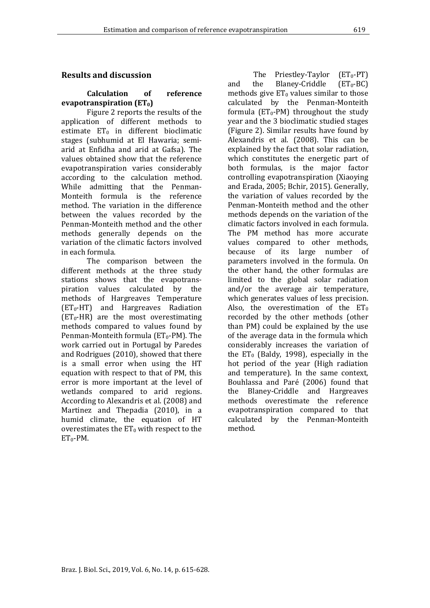# **Results and discussion**

#### **Calculation of reference evapotranspiration (ET0)**

Figure 2 reports the results of the application of different methods to estimate  $ET_0$  in different bioclimatic stages (subhumid at El Hawaria; semiarid at Enfidha and arid at Gafsa). The values obtained show that the reference evapotranspiration varies considerably according to the calculation method. While admitting that the Penman-Monteith formula is the reference method. The variation in the difference between the values recorded by the Penman-Monteith method and the other methods generally depends on the variation of the climatic factors involved in each formula.

The comparison between the different methods at the three study stations shows that the evapotranspiration values calculated by the methods of Hargreaves Temperature (ET0-HT) and Hargreaves Radiation  $(ET_0-HR)$  are the most overestimating methods compared to values found by Penman-Monteith formula (ET<sub>0</sub>-PM). The work carried out in Portugal by Paredes and Rodrigues (2010), showed that there is a small error when using the HT equation with respect to that of PM, this error is more important at the level of wetlands compared to arid regions. According to Alexandris et al. (2008) and Martinez and Thepadia (2010), in a humid climate, the equation of HT overestimates the  $ET_0$  with respect to the  $ET_0-PM$ .

The Priestley-Taylor  $(ET_0-PT)$ <br>the Blaney-Criddle  $(ET_0-BC)$ and the Blaney-Criddle methods give  $ET_0$  values similar to those calculated by the Penman-Monteith formula ( $ET_0$ -PM) throughout the study year and the 3 bioclimatic studied stages (Figure 2). Similar results have found by Alexandris et al. (2008). This can be explained by the fact that solar radiation, which constitutes the energetic part of both formulas, is the major factor controlling evapotranspiration (Xiaoying and Erada, 2005; Bchir, 2015). Generally, the variation of values recorded by the Penman-Monteith method and the other methods depends on the variation of the climatic factors involved in each formula. The PM method has more accurate values compared to other methods, because of its large number of parameters involved in the formula. On the other hand, the other formulas are limited to the global solar radiation and/or the average air temperature, which generates values of less precision. Also, the overestimation of the  $ET_0$ recorded by the other methods (other than PM) could be explained by the use of the average data in the formula which considerably increases the variation of the  $ET_0$  (Baldy, 1998), especially in the hot period of the year (High radiation and temperature). In the same context, Bouhlassa and Paré (2006) found that the Blaney-Criddle and Hargreaves methods overestimate the reference evapotranspiration compared to that calculated by the Penman-Monteith method.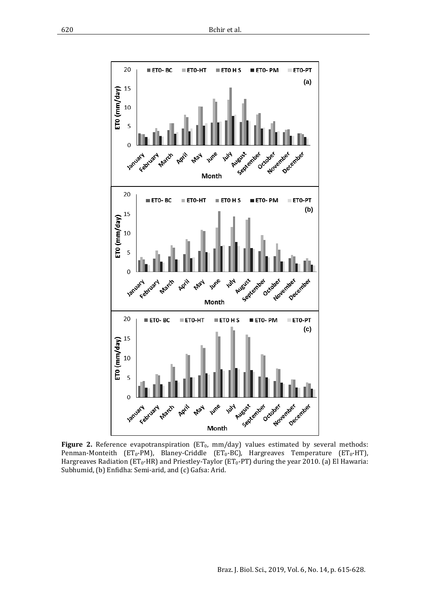

Figure 2. Reference evapotranspiration (ET<sub>0</sub>, mm/day) values estimated by several methods: Penman-Monteith ( $ET_0$ -PM), Blaney-Criddle ( $ET_0$ -BC), Hargreaves Temperature ( $ET_0$ -HT), Hargreaves Radiation ( $ET_0$ -HR) and Priestley-Taylor ( $ET_0$ -PT) during the year 2010. (a) El Hawaria: Subhumid, (b) Enfidha: Semi-arid, and (c) Gafsa: Arid.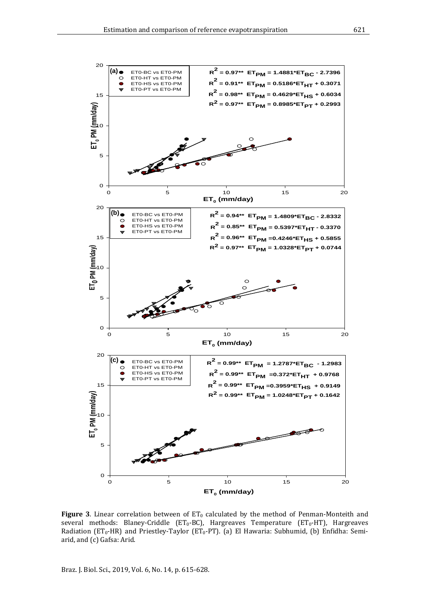

**Figure 3**. Linear correlation between of  $ET_0$  calculated by the method of Penman-Monteith and several methods: Blaney-Criddle ( $ET_0$ -BC), Hargreaves Temperature ( $ET_0$ -HT), Hargreaves Radiation (ET<sub>0</sub>-HR) and Priestley-Taylor (ET<sub>0</sub>-PT). (a) El Hawaria: Subhumid, (b) Enfidha: Semiarid, and (c) Gafsa: Arid.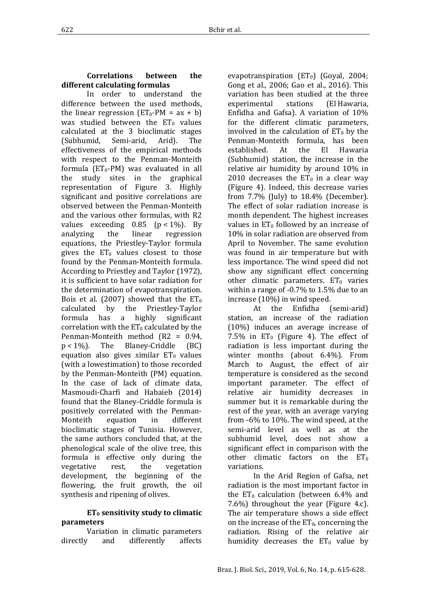# **Correlations between the different calculating formulas**

In order to understand the difference between the used methods, the linear regression  $(ET_0-PM = ax + b)$ was studied between the  $ET_0$  values calculated at the 3 bioclimatic stages<br>(Subhumid, Semi-arid, Arid). The (Subhumid, effectiveness of the empirical methods with respect to the Penman-Monteith formula ( $ET_0$ -PM) was evaluated in all the study sites in the graphical representation of Figure 3. Highly significant and positive correlations are observed between the Penman-Monteith and the various other formulas, with R2 values exceeding  $0.85$  ( $p < 1\%$ ). By analyzing the linear regression regression equations, the Priestley-Taylor formula gives the  $ET_0$  values closest to those found by the Penman-Monteith formula. According to Priestley and Taylor (1972), it is sufficient to have solar radiation for the determination of evapotranspiration. Bois et al. (2007) showed that the  $ET_0$  calculated by the Priestley-Taylor calculated by the Priestley-Taylor<br>formula has a highly significant a highly significant correlation with the  $ET_0$  calculated by the Penman-Monteith method  $(R2 = 0.94, p < 1\%)$ . The Blaney-Criddle (BC) Blaney-Criddle equation also gives similar  $ET_0$  values (with a lowestimation) to those recorded by the Penman-Monteith (PM) equation. In the case of lack of climate data, Masmoudi-Charfi and Habaieb (2014) found that the Blaney-Criddle formula is positively correlated with the Penman-<br>Monteith equation in different equation bioclimatic stages of Tunisia. However, the same authors concluded that, at the phenological scale of the olive tree, this formula is effective only during the<br>vegetative rest, the vegetation vegetation development, the beginning of the flowering, the fruit growth, the oil synthesis and ripening of olives.

#### **ET0 sensitivity study to climatic parameters**

Variation in climatic parameters<br>directly and differently affects differently

evapotranspiration  $(ET_0)$  (Goyal, 2004; Gong et al., 2006; Gao et al., 2016). This variation has been studied at the three<br>experimental stations (El Hawaria, experimental Enfidha and Gafsa). A variation of 10% for the different climatic parameters, involved in the calculation of  $ET_0$  by the Penman-Monteith formula, has been<br>established. At the El Hawaria established. At the El Hawaria (Subhumid) station, the increase in the relative air humidity by around 10% in 2010 decreases the  $ET_0$  in a clear way (Figure 4). Indeed, this decrease varies from 7.7% (July) to 18.4% (December). The effect of solar radiation increase is month dependent. The highest increases values in  $ET_0$  followed by an increase of 10% in solar radiation are observed from April to November. The same evolution was found in air temperature but with less importance. The wind speed did not show any significant effect concerning other climatic parameters.  $ET_0$  varies within a range of -0.7% to 1.5% due to an increase (10%) in wind speed.

(semi-arid) station, an increase of the radiation (10%) induces an average increase of 7.5% in  $ET_0$  (Figure 4). The effect of radiation is less important during the winter months (about 6.4%). From March to August, the effect of air temperature is considered as the second important parameter. The effect of relative air humidity decreases in summer but it is remarkable during the rest of the year, with an average varying from -6% to 10%. The wind speed, at the semi-arid level as well as at the subhumid level, does not show a significant effect in comparison with the other climatic factors on the  $ET_0$ variations.

In the Arid Region of Gafsa, net radiation is the most important factor in the  $ET_0$  calculation (between 6.4% and 7.6%) throughout the year (Figure 4.c). The air temperature shows a side effect on the increase of the  $ET_0$ , concerning the radiation. Rising of the relative air humidity decreases the  $ET_0$  value by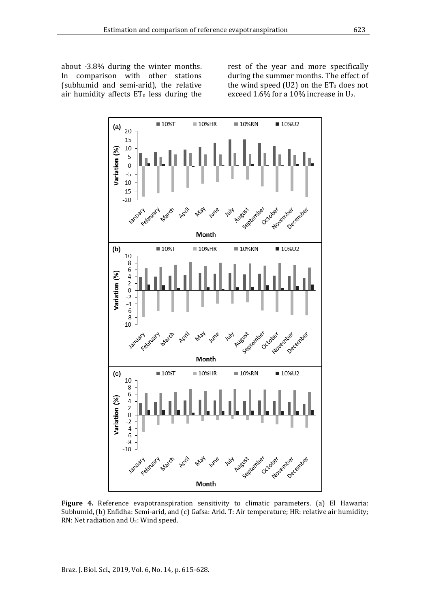about -3.8% during the winter months. In comparison with other stations (subhumid and semi-arid), the relative air humidity affects  $ET_0$  less during the

rest of the year and more specifically during the summer months. The effect of the wind speed (U2) on the  $ET_0$  does not exceed 1.6% for a 10% increase in U2.



**Figure 4.** Reference evapotranspiration sensitivity to climatic parameters. (a) El Hawaria: Subhumid, (b) Enfidha: Semi-arid, and (c) Gafsa: Arid. T: Air temperature; HR: relative air humidity; RN: Net radiation and U2: Wind speed.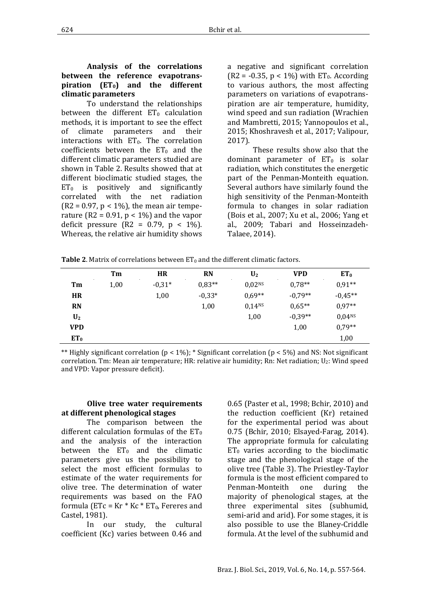To understand the relationships between the different  $ET_0$  calculation methods, it is important to see the effect<br>of climate parameters and their climate parameters interactions with  $ET_0$ . The correlation coefficients between the  $ET_0$  and the different climatic parameters studied are shown in Table 2. Results showed that at different bioclimatic studied stages, the  $ET_0$  is positively and significantly correlated with the net radiation  $(R2 = 0.97, p < 1\%)$ , the mean air temperature ( $R2 = 0.91$ ,  $p < 1\%$ ) and the vapor deficit pressure  $(R2 = 0.79, p < 1\%)$ . Whereas, the relative air humidity shows

a negative and significant correlation  $(R2 = -0.35, p < 1\%)$  with ET<sub>0</sub>. According to various authors, the most affecting parameters on variations of evapotranspiration are air temperature, humidity, wind speed and sun radiation (Wrachien and Mambretti, 2015; Yannopoulos et al., 2015; Khoshravesh et al., 2017; Valipour, 2017).

These results show also that the dominant parameter of  $ET_0$  is solar radiation, which constitutes the energetic part of the Penman-Monteith equation. Several authors have similarly found the high sensitivity of the Penman-Monteith formula to changes in solar radiation (Bois et al., 2007; Xu et al., 2006; Yang et al., 2009; Tabari and Hosseinzadeh-Talaee, 2014).

|                | Tm   | <b>HR</b> | <b>RN</b> | $\mathbf{U}_2$     | <b>VPD</b> | ET <sub>0</sub>    |
|----------------|------|-----------|-----------|--------------------|------------|--------------------|
| Tm             | 1,00 | $-0,31*$  | $0,83**$  | 0.02 <sub>NS</sub> | $0.78**$   | $0.91**$           |
| <b>HR</b>      |      | 1,00      | $-0.33*$  | $0.69**$           | $-0.79**$  | $-0.45**$          |
| <b>RN</b>      |      |           | 1,00      | $0,14^{NS}$        | $0.65**$   | $0.97**$           |
| U <sub>2</sub> |      |           |           | 1,00               | $-0.39**$  | 0.04 <sup>NS</sup> |
| <b>VPD</b>     |      |           |           |                    | 1,00       | $0.79**$           |
| $ET_0$         |      |           |           |                    |            | 1,00               |

\*\* Highly significant correlation ( $p < 1\%$ ); \* Significant correlation ( $p < 5\%$ ) and NS: Not significant correlation. Tm: Mean air temperature; HR: relative air humidity; Rn: Net radiation;  $U_2$ : Wind speed and VPD: Vapor pressure deficit).

#### **Olive tree water requirements at different phenological stages**

The comparison between the different calculation formulas of the  $ET_0$ and the analysis of the interaction between the  $ET_0$  and the climatic parameters give us the possibility to select the most efficient formulas to estimate of the water requirements for olive tree. The determination of water requirements was based on the FAO formula ( $ETc = Kr * Kc * ET_0$ , Fereres and Castel, 1981).

In our study, the cultural coefficient (Kc) varies between 0.46 and

0.65 (Paster et al., 1998; Bchir, 2010) and the reduction coefficient (Kr) retained for the experimental period was about 0.75 (Bchir, 2010; Elsayed-Farag, 2014). The appropriate formula for calculating  $ET_0$  varies according to the bioclimatic stage and the phenological stage of the olive tree (Table 3). The Priestley-Taylor formula is the most efficient compared to<br>Penman-Monteith one during the Penman-Monteith majority of phenological stages, at the three experimental sites (subhumid, semi-arid and arid). For some stages, it is also possible to use the Blaney-Criddle formula. At the level of the subhumid and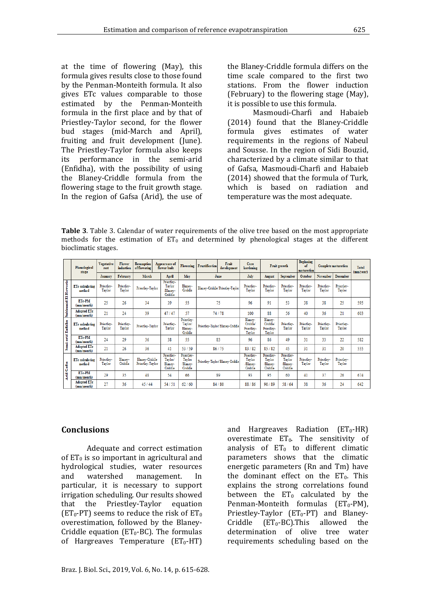at the time of flowering (May), this formula gives results close to those found by the Penman-Monteith formula. It also gives ETc values comparable to those estimated by the Penman-Monteith formula in the first place and by that of Priestley-Taylor second, for the flower bud stages (mid-March and April), fruiting and fruit development (June). The Priestley-Taylor formula also keeps<br>its performance in the semi-arid performance in the semi-arid (Enfidha), with the possibility of using the Blaney-Criddle formula from the flowering stage to the fruit growth stage. In the region of Gafsa (Arid), the use of the Blaney-Criddle formula differs on the time scale compared to the first two stations. From the flower induction (February) to the flowering stage (May), it is possible to use this formula.

Masmoudi-Charfi and Habaieb (2014) found that the Blaney-Criddle formula gives estimates of water requirements in the regions of Nabeul and Sousse. In the region of Sidi Bouzid, characterized by a climate similar to that of Gafsa, Masmoudi-Charfi and Habaieb (2014) showed that the formula of Turk, which is based on radiation and temperature was the most adequate.

**Table 3**. Table 3. Calendar of water requirements of the olive tree based on the most appropriate methods for the estimation of  $ET_0$  and determined by phenological stages at the different bioclimatic stages.

|                            | Phenological<br>stage            | <b>Vegetative</b><br>rest | Flower<br>induction  | <b>Resumption</b><br>of flowering  | Appearance of<br>flower buds                | <b>Flowering</b>                            | <b>Fructification</b>           | Fruit<br>development | Core<br>hardening                           | Fruit growth                                |                                            | <b>Beginning</b><br>of<br><b>Complete maturation</b><br>maturation |                      |                      | Total<br>(mm/year) |
|----------------------------|----------------------------------|---------------------------|----------------------|------------------------------------|---------------------------------------------|---------------------------------------------|---------------------------------|----------------------|---------------------------------------------|---------------------------------------------|--------------------------------------------|--------------------------------------------------------------------|----------------------|----------------------|--------------------|
|                            |                                  | January                   | February             | March                              | April                                       | May                                         | June                            |                      | July                                        | August                                      | September                                  | October                                                            | November             | <b>December</b>      |                    |
| Subhumid El Hawaria        | <b>ETc</b> calculating<br>method | Priestley-<br>Taylor      | Priestley-<br>Taylor | Priestley-Taylor                   | Priestlev-<br>Taylor<br>Blaney-<br>Criddle  | Blaney-<br>Criddle                          | Blaney-Criddle/Priestley-Taylor |                      | Priestley-<br>Taylor                        | Priestley-<br>Taylor                        | Priestley-<br>Taylor                       | Priestley-<br>Taylor                                               | Priestley-<br>Taylor | Priestley-<br>Taylor |                    |
|                            | <b>ETc-PM</b><br>(mm/month)      | 25                        | 26                   | 34                                 | 39                                          | 55                                          | 75                              |                      | 96                                          | 91                                          | 53                                         | 38                                                                 | 38                   | 25                   | 595                |
|                            | <b>Adopted ETc</b><br>(mm/month) | 21                        | 24                   | 39                                 | 47/47                                       | 57                                          | 74/78                           |                      | 100                                         | 88                                          | 56                                         | 40                                                                 | 36                   | 21                   | 603                |
| Semi-arid Enfidha          | <b>ETc</b> calculating<br>method | Priestlev-<br>Taylor      | Priestley-<br>Taylor | Priestley-Taylor                   | Priestley-<br>Taylor                        | Priestley-<br>Taylor/<br>Blaney-<br>Criddle | Priestley-Taylor/Blaney-Criddle |                      | Blaney-<br>Criddle/<br>Priestley-<br>Taylor | Blaney-<br>Criddle/<br>Priestlev-<br>Taylor | Priestley-<br>Taylor                       | Priestley-<br>Taylor                                               | Priestley-<br>Taylor | Priestley-<br>Taylor |                    |
|                            | ETe-PM<br>(mm/month)             | 24                        | 29                   | 36                                 | 38                                          | 55                                          | 83                              |                      | 96                                          | 86                                          | 49                                         | 31                                                                 | 33                   | 22                   | 582                |
|                            | <b>Adopted ETc</b><br>(mm/month) | 21                        | 26                   | 36                                 | 41                                          | 53/59                                       | 86/75                           |                      | 83/82                                       | 85/82                                       | 45                                         | 31                                                                 | 31                   | 20                   | 555                |
| Gafsa<br>Arid <sup>1</sup> | <b>ETc</b> calculating<br>method | Priestley-<br>Taylor      | Blaney-<br>Criddle   | Blaney-Criddle<br>Priestley-Taylor | Priestley-<br>Taylor/<br>Blaney-<br>Criddle | Priestley-<br>Taylor<br>Blanev-<br>Criddle  | Priestley-Taylor/Blaney-Criddle |                      | Priestley-<br>Taylor<br>/Blaney-<br>Criddle | Priestley-<br>Taylor<br>Blaney-<br>Criddle  | Priestley-<br>Tavlor<br>Blaney-<br>Criddle | Priestley-<br>Taylor                                               | Priestley-<br>Taylor | Priestley-<br>Taylor |                    |
|                            | ETe-PM<br>(mm/month)             | 29                        | 35                   | 48                                 | 54                                          | 66                                          | 89                              |                      | 93                                          | 95                                          | 60                                         | 41                                                                 | 37                   | 26                   | 674                |
|                            | <b>Adopted ETc</b><br>(mm/month) | 27                        | 36                   | 45/44                              | 54/51                                       | 62/60                                       | 84/80                           |                      | 88/86                                       | 90/89                                       | 58/64                                      | 38                                                                 | 36                   | 24                   | 642                |

#### **Conclusions**

Adequate and correct estimation of  $ET_0$  is so important in agricultural and hydrological studies, water resources<br>and watershed management. In and watershed management. In particular, it is necessary to support irrigation scheduling. Our results showed<br>that the Priestlev-Taylor equation Priestley-Taylor (ET<sub>0</sub>-PT) seems to reduce the risk of  $ET_0$ overestimation, followed by the Blaney-Criddle equation ( $ET_0$ -BC). The formulas of Hargreaves Temperature  $(ET_0-HT)$ 

parameters shows that the climatic energetic parameters (Rn and Tm) have the dominant effect on the  $ET_0$ . This explains the strong correlations found between the  $ET_0$  calculated by the Penman-Monteith formulas  $(ET_0-PM)$ , Priestley-Taylor  $(ET_0-PT)$  and Blaney-<br>Criddle  $(ET_0-BC).$ This allowed the  $(ET_0-BC)$ .This determination of olive tree water requirements scheduling based on the

and Hargreaves Radiation  $(ET_0-HR)$ overestimate  $ET_0$ . The sensitivity of analysis of  $ET_0$  to different climatic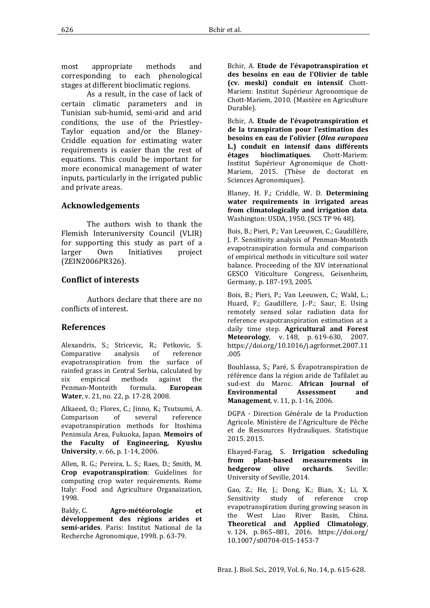most appropriate methods and corresponding to each phenological stages at different bioclimatic regions.

As a result, in the case of lack of certain climatic parameters and in Tunisian sub-humid, semi-arid and arid conditions, the use of the Priestley-Taylor equation and/or the Blaney-Criddle equation for estimating water requirements is easier than the rest of equations. This could be important for more economical management of water inputs, particularly in the irrigated public and private areas.

# **Acknowledgements**

The authors wish to thank the Flemish Interuniversity Council (VLIR) for supporting this study as part of a<br>larger Own Initiatives project Initiatives (ZEIN2006PR326).

# **Conflict of interests**

Authors declare that there are no conflicts of interest.

# **References**

Alexandris, S.; Stricevic, R.; Petkovic, S.<br>Comparative analysis of reference Comparative evapotranspiration from the surface of rainfed grass in Central Serbia, calculated by<br>six empirical methods against the methods against the<br>h formula. **European** Penman-Monteith **Water**, v. 21, no. 22, p. 17-28, 2008.

Alkaeed, O.; Flores, C.; Jinno, K.; Tsutsumi, A. Comparison of several reference evapotranspiration methods for Itoshima Peninsula Area, Fukuoka, Japan. **Memoirs of the Faculty of Engineering, Kyushu University**, v. 66, p. 1-14, 2006.

Allen, R. G.; Pereira, L. S.; Raes, D.; Smith, M. **Crop evapotranspiration**: Guidelines for computing crop water requirements. Rome Italy: Food and Agriculture Organaization, 1998.

Baldy, C. **Agro-météorologie et développement des régions arides et semi-arides**. Paris: Institut National de la Recherche Agronomique, 1998. p. 63-79.

Bchir, A. **Etude de l'évapotranspiration et des besoins en eau de l'Olivier de table (cv. meski) conduit en intensif**. Chott-Mariem: Institut Supérieur Agronomique de Chott-Mariem, 2010. (Mastère en Agriculture Durable).

Bchir, A. **Etude de l'évapotranspiration et de la transpiration pour l'estimation des besoins en eau de l'olivier (***Olea europaea* **L.) conduit en intensif dans différents étages bioclimatiques**. Chott-Mariem: Institut Supérieur Agronomique de Chott-Mariem, 2015. (Thèse de doctorat en Sciences Agronomiques).

Blaney, H. F.; Criddle, W. D. **Determining water requirements in irrigated areas from climatologically and irrigation data**. Washington: USDA, 1950. (SCS TP 96 48).

Bois, B.; Pieri, P.; Van Leeuwen, C.; Gaudillère, J. P. Sensitivity analysis of Penman-Monteith evapotranspiration formula and comparison of empirical methods in viticulture soil water balance. Proceeding of the XIV international GESCO Viticulture Congress, Geisenheim, Germany, p. 187-193, 2005.

Bois, B.; Pieri, P.; Van Leeuwen, C.; Wald, L.; Huard, F.; Gaudillere, J.-P.; Saur, E. Using remotely sensed solar radiation data for reference evapotranspiration estimation at a daily time step. **Agricultural and Forest Meteorology**, v. 148, p. 619-630, 2007. [https://doi.org/10.1016/j.agrformet.2007.11](https://doi.org/10.1016/j.agrformet.2007.11.005) [.005](https://doi.org/10.1016/j.agrformet.2007.11.005)

Bouhlassa, S.; Paré, S. Évapotranspiration de référence dans la région aride de Tafilalet au sud-est du Maroc. **African Journal of Environmental Management**, v. 11, p. 1-16, 2006.

DGPA - Direction Générale de la Production Agricole. Ministère de l'Agriculture de Pêche et de Ressources Hydrauliques. Statistique 2015. 2015.

Elsayed-Farag, S. **Irrigation scheduling from plant-based measurements in hedgerow olive orchards**. Seville: University of Seville, 2014.

Gao, Z.; He, J.; Dong, K.; Bian, X.; Li, X.<br>Sensitivity study of reference crop Sensitivity study [evapotranspiration during growing season in](http://link.springer.com/article/10.1007/s00704-015-1453-7)  [the West Liao River Basin, China.](http://link.springer.com/article/10.1007/s00704-015-1453-7) **Theoretical and Applied Climatology**, v. 124, p. 865–881, 2016. [https://doi.org/](https://doi.org/10.1007/s00704-015-1453-7)  [10.1007/s00704-015-1453-7](https://doi.org/10.1007/s00704-015-1453-7)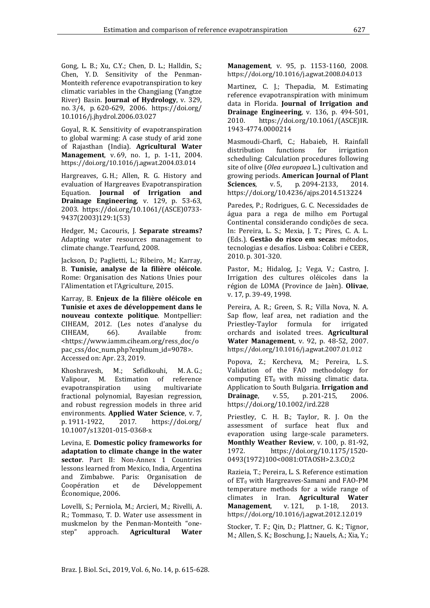Gong, L. B.; Xu, C.Y.; Chen, D. L.; Halldin, S.; Chen, Y. D. Sensitivity of the Penman-Monteith reference evapotranspiration to key climatic variables in the Changjiang (Yangtze River) Basin. **Journal of Hydrology**, v. 329, no. 3/4, p. 620-629, 2006. [https://doi.org/](https://doi.org/10.1016/j.jhydrol.2006.03.027)  [10.1016/j.jhydrol.2006.03.027](https://doi.org/10.1016/j.jhydrol.2006.03.027)

Goyal, R. K. Sensitivity of evapotranspiration to global warming: A case study of arid zone of Rajasthan (India). **Agricultural Water Management**, v. 69, no. 1, p. 1-11, 2004. <https://doi.org/10.1016/j.agwat.2004.03.014>

Hargreaves, G. H.; Allen, R. G. History and evaluation of Hargreaves Evapotranspiration Equation. **Journal of Irrigation and Drainage Engineering**, v. 129, p. 53-63, 2003. [https://doi.org/10.1061/\(ASCE\)0733-](https://doi.org/10.1061/(ASCE)0733-9437(2003)129:1(53)) [9437\(2003\)129:1\(53\)](https://doi.org/10.1061/(ASCE)0733-9437(2003)129:1(53))

Hedger, M.; Cacouris, J. **Separate streams?** Adapting water resources management to climate change. Tearfund, 2008.

Jackson, D.; Paglietti, L.; Ribeiro, M.; Karray, B. **Tunisie, analyse de la filière oléicole**. Rome: Organisation des Nations Unies pour l'Alimentation et l'Agriculture, 2015.

Karray, B. **Enjeux de la filière oléicole en Tunisie et axes de développement dans le nouveau contexte politique**. Montpellier: CIHEAM, 2012. (Les notes d'analyse du<br>CIHEAM, 66). Available from: CIHEAM, 66). Available from: [<https://www.iamm.ciheam.org/ress\\_doc/o](https://www.iamm.ciheam.org/ress_doc/opac_css/doc_num.php?explnum_id=9078) [pac\\_css/doc\\_num.php?explnum\\_id=9078>](https://www.iamm.ciheam.org/ress_doc/opac_css/doc_num.php?explnum_id=9078). Accessed on: Apr. 23, 2019.

Khoshravesh, M.; Sefidkouhi, M. A. G.; Valipour, M. Estimation of reference evapotranspiration using multivariate fractional polynomial, Bayesian regression, and robust regression models in three arid environments. **Applied Water Science**, v. 7,<br>p. 1911-1922. 2017. https://doi.org/ https://doi.org/ [10.1007/s13201-015-0368-x](https://doi.org/10.1007/s13201-015-0368-x)

Levina, E. **Domestic policy frameworks for adaptation to climate change in the water sector**. Part II: Non-Annex 1 Countries lessons learned from Mexico, India, Argentina and Zimbabwe. Paris: Organisation de Développement Économique, 2006.

Lovelli, S.; Perniola, M.; Arcieri, M.; Rivelli, A. R.; Tommaso, T. D. Water use assessment in muskmelon by the Penman-Monteith "one-<br>step" approach. **Agricultural Water** approach. **Agricultural** 

**Management**, v. 95, p. 1153-1160, 2008. <https://doi.org/10.1016/j.agwat.2008.04.013>

Martinez, C. J.; Thepadia, M. Estimating reference evapotranspiration with minimum data in Florida. **Journal of Irrigation and Drainage Engineering**, v. 136, p. 494-501, 2010. https://doi.org/10.1061/(ASCE)IR. https://doi.org/10.1061/(ASCE)IR. [1943-4774.0000214](https://doi.org/10.1061/(ASCE)IR.1943-4774.0000214)

Masmoudi-Charfi, C.; Habaieb, H. Rainfall distribution functions for irrigation scheduling: Calculation procedures following site of olive (*Olea europaea* L.) cultivation and growing periods. **American Journal of Plant**  p. 2094-2133, <https://doi.org/10.4236/ajps.2014.513224>

Paredes, P.; Rodrigues, G. C. Necessidades de água para a rega de milho em Portugal Continental considerando condições de seca. In: Pereira, L. S.; Mexia, J. T.; Pires, C. A. L. (Eds.). **Gestão do risco em secas**: métodos, tecnologias e desafíos. Lisboa: Colibri e CEER, 2010. p. 301-320.

Pastor, M.; Hidalog, J.; Vega, V.; Castro, J. Irrigation des cultures oléicoles dans la région de LOMA (Province de Jaèn). **Olivae**, v. 17, p. 39-49, 1998.

Pereira, A. R.; Green, S. R.; Villa Nova, N. A. Sap flow, leaf area, net radiation and the Priestley-Taylor formula for irrigated orchards and isolated trees. **Agricultural Water Management**, v. 92, p. 48-52, 2007. <https://doi.org/10.1016/j.agwat.2007.01.012>

Popova, Z.; Kercheva, M.; Pereira, L. S. Validation of the FAO methodology for computing  $ET_0$  with missing climatic data. Application to South Bulgaria. **Irrigation and**  p. 201-215, <https://doi.org/10.1002/ird.228>

Priestley, C. H. B.; Taylor, R. J. On the assessment of surface heat flux and evaporation using large-scale parameters. **Monthly Weather Review**, v. 100, p. 81-92,<br>1972. https://doi.org/10.1175/1520[https://doi.org/10.1175/1520-](https://doi.org/10.1175/1520-0493(1972)100%3c0081:OTAOSH%3e2.3.CO;2) [0493\(1972\)100<0081:OTAOSH>2.3.CO;2](https://doi.org/10.1175/1520-0493(1972)100%3c0081:OTAOSH%3e2.3.CO;2)

Razieia, T.; Pereira, L. S. Reference estimation of  $ET_0$  with Hargreaves-Samani and FAO-PM temperature methods for a wide range of climates in Iran. **Agricultural Water Management,** <https://doi.org/10.1016/j.agwat.2012.12.019>

Stocker, T. F.; Qin, D.; Plattner, G. K.; Tignor, M.; Allen, S. K.; Boschung, J.; Nauels, A.; Xia, Y.;